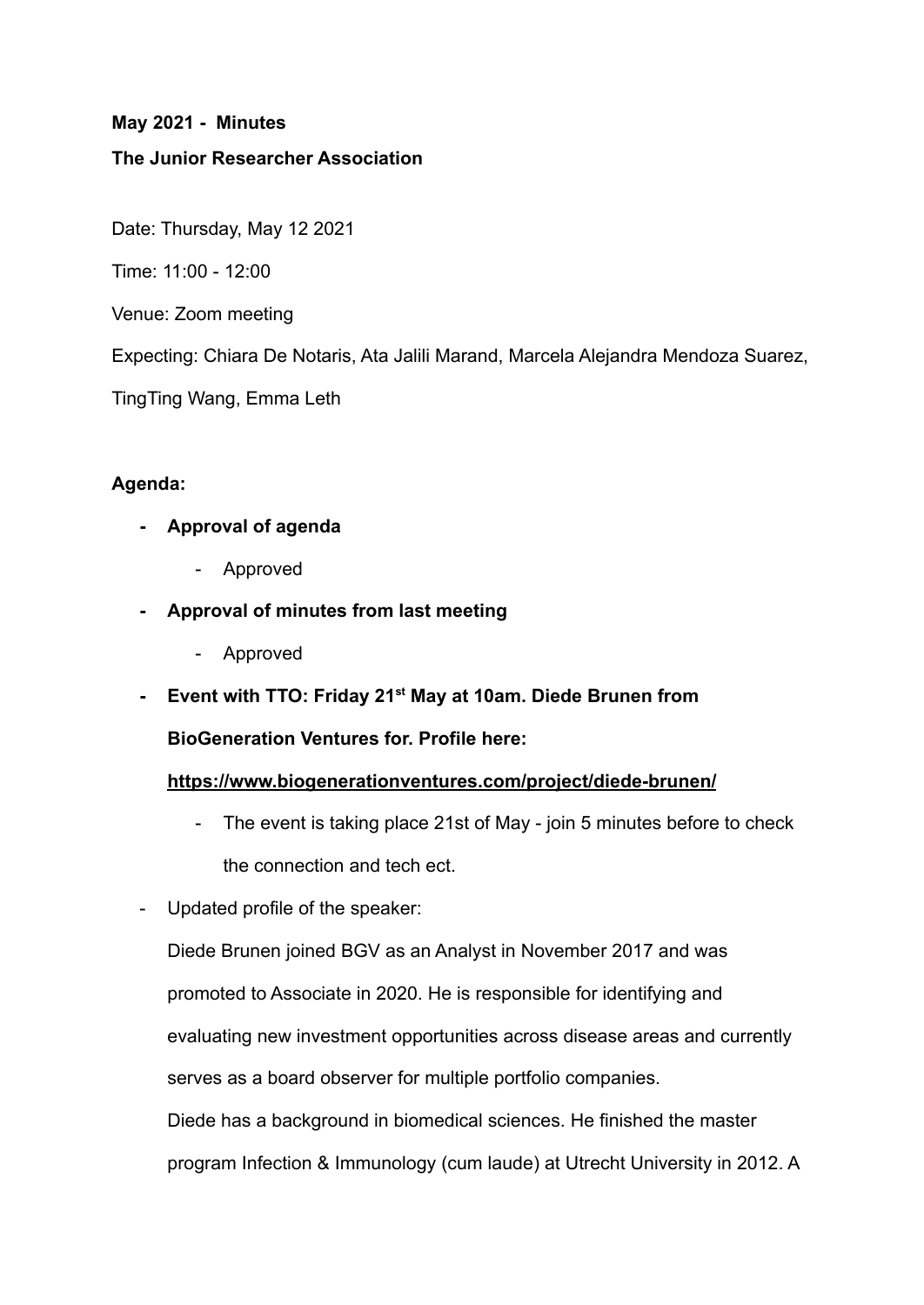### **May 2021 - Minutes**

### **The Junior Researcher Association**

Date: Thursday, May 12 2021

Time: 11:00 - 12:00

Venue: Zoom meeting

Expecting: Chiara De Notaris, Ata Jalili Marand, Marcela Alejandra Mendoza Suarez,

TingTing Wang, Emma Leth

### **Agenda:**

- **- Approval of agenda**
	- Approved
- **- Approval of minutes from last meeting**
	- Approved
- **- Event with TTO: Friday 21st May at 10am. Diede Brunen from**

**BioGeneration Ventures for. Profile here:**

#### **<https://www.biogenerationventures.com/project/diede-brunen/>**

- The event is taking place 21st of May join 5 minutes before to check the connection and tech ect.
- Updated profile of the speaker:

Diede Brunen joined BGV as an Analyst in November 2017 and was promoted to Associate in 2020. He is responsible for identifying and evaluating new investment opportunities across disease areas and currently serves as a board observer for multiple portfolio companies. Diede has a background in biomedical sciences. He finished the master program Infection & Immunology (cum laude) at Utrecht University in 2012. A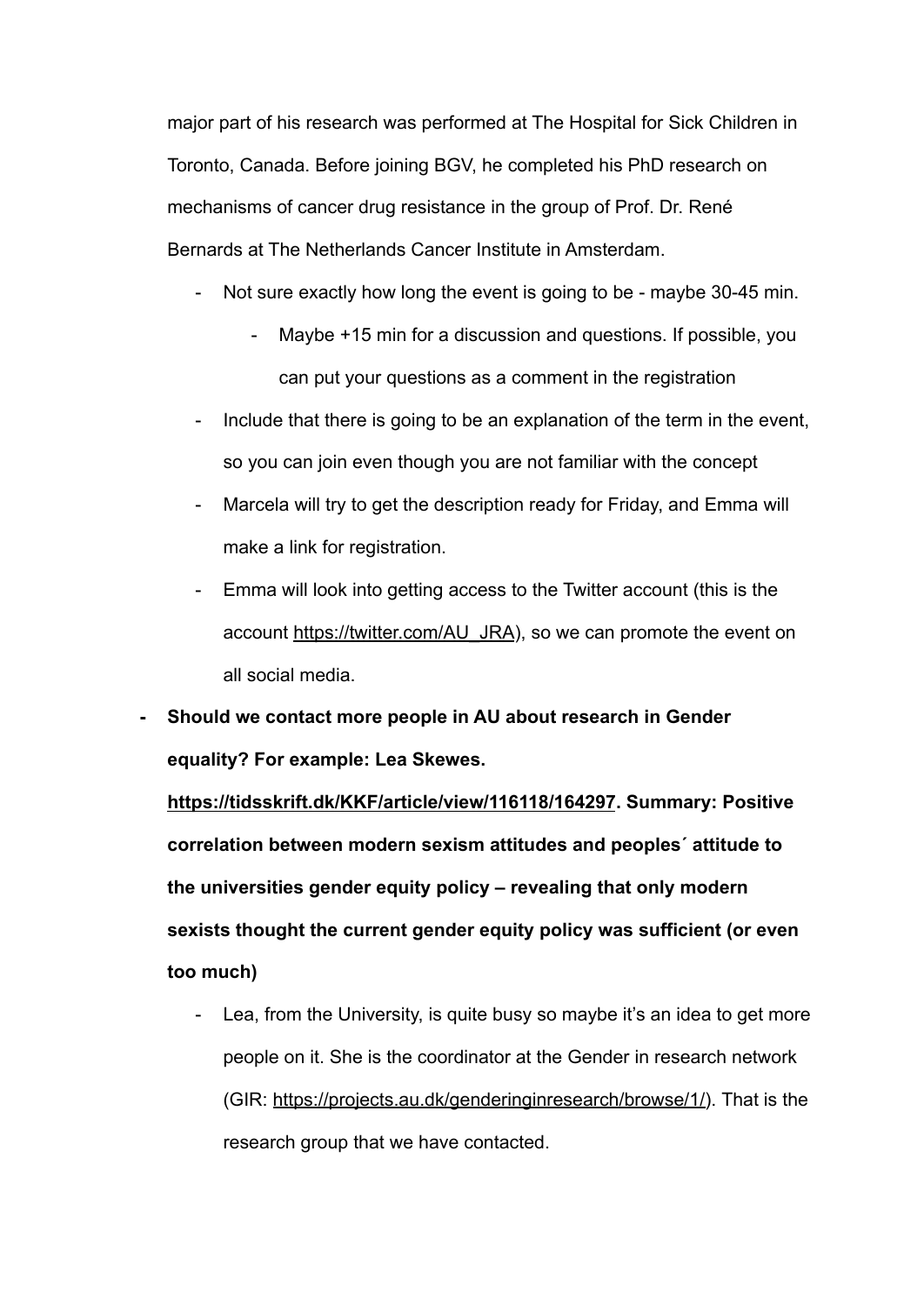major part of his research was performed at The Hospital for Sick Children in Toronto, Canada. Before joining BGV, he completed his PhD research on mechanisms of cancer drug resistance in the group of Prof. Dr. René Bernards at The Netherlands Cancer Institute in Amsterdam.

- Not sure exactly how long the event is going to be maybe 30-45 min.
	- Maybe +15 min for a discussion and questions. If possible, you can put your questions as a comment in the registration
- Include that there is going to be an explanation of the term in the event, so you can join even though you are not familiar with the concept
- Marcela will try to get the description ready for Friday, and Emma will make a link for registration.
- Emma will look into getting access to the Twitter account (this is the account [https://twitter.com/AU\\_JRA](https://twitter.com/AU_JRA)), so we can promote the event on all social media.
- **- Should we contact more people in AU about research in Gender equality? For example: Lea Skewes.**

**<https://tidsskrift.dk/KKF/article/view/116118/164297>. Summary: Positive correlation between modern sexism attitudes and peoples´ attitude to the universities gender equity policy – revealing that only modern sexists thought the current gender equity policy was sufficient (or even too much)**

Lea, from the University, is quite busy so maybe it's an idea to get more people on it. She is the coordinator at the Gender in research network (GIR: [https://projects.au.dk/genderinginresearch/browse/1/\)](https://projects.au.dk/genderinginresearch/browse/1/). That is the research group that we have contacted.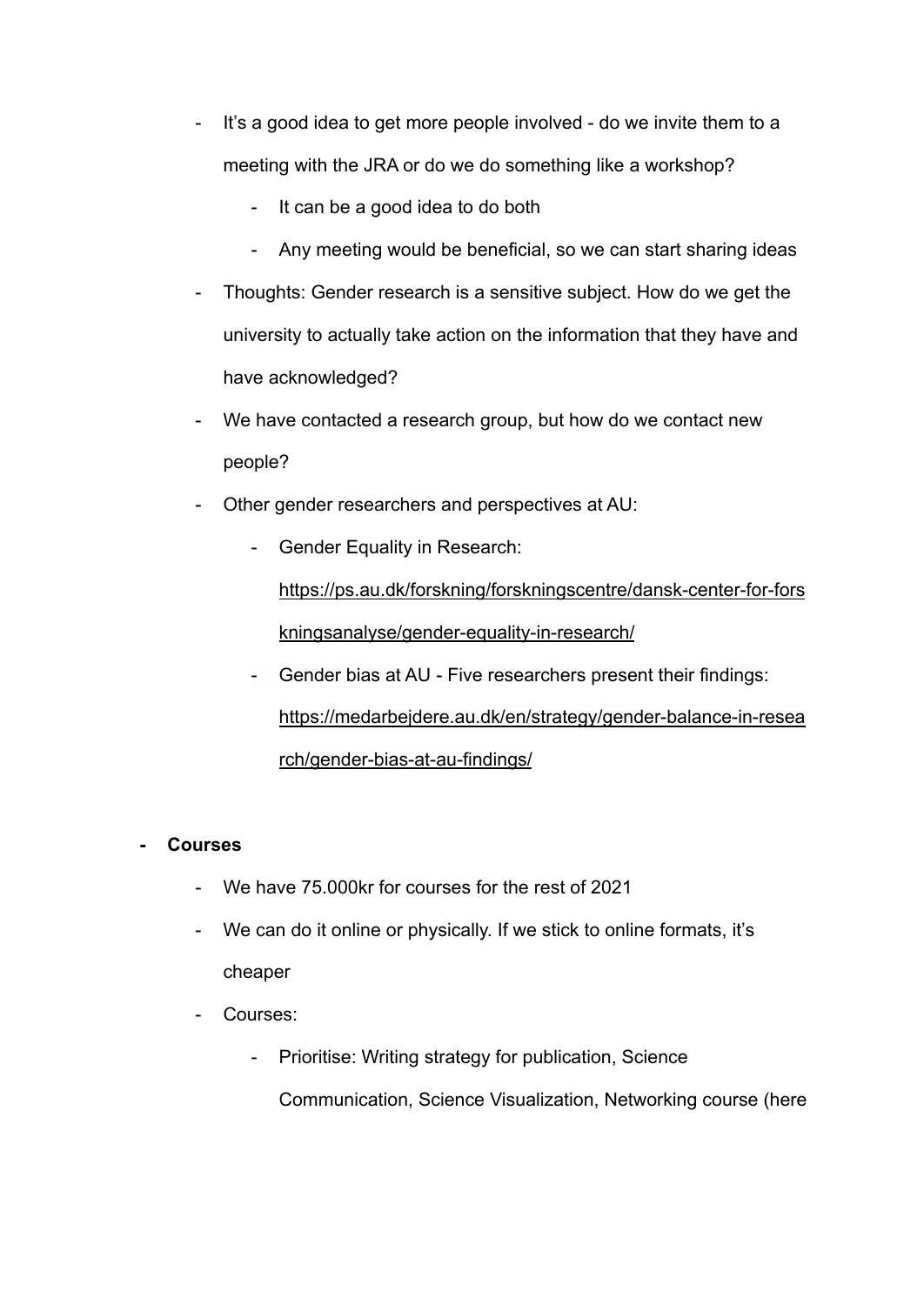- It's a good idea to get more people involved do we invite them to a meeting with the JRA or do we do something like a workshop?
	- It can be a good idea to do both
	- Any meeting would be beneficial, so we can start sharing ideas
- Thoughts: Gender research is a sensitive subject. How do we get the university to actually take action on the information that they have and have acknowledged?
- We have contacted a research group, but how do we contact new people?
- Other gender researchers and perspectives at AU:
	- Gender Equality in Research:

[https://ps.au.dk/forskning/forskningscentre/dansk-center-for-fors](https://ps.au.dk/forskning/forskningscentre/dansk-center-for-forskningsanalyse/gender-equality-in-research/) [kningsanalyse/gender-equality-in-research/](https://ps.au.dk/forskning/forskningscentre/dansk-center-for-forskningsanalyse/gender-equality-in-research/)

- Gender bias at AU - Five researchers present their findings: [https://medarbejdere.au.dk/en/strategy/gender-balance-in-resea](https://medarbejdere.au.dk/en/strategy/gender-balance-in-research/gender-bias-at-au-findings/) [rch/gender-bias-at-au-findings/](https://medarbejdere.au.dk/en/strategy/gender-balance-in-research/gender-bias-at-au-findings/)

#### **- Courses**

- We have 75.000 kr for courses for the rest of 2021
- We can do it online or physically. If we stick to online formats, it's cheaper
- Courses:
	- Prioritise: Writing strategy for publication, Science Communication, Science Visualization, Networking course (here